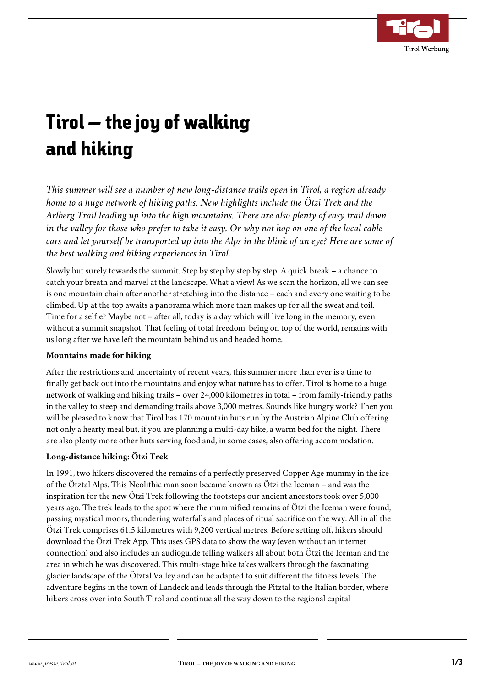

# Tirol – the joy of walking and hiking

*This summer will see a number of new long-distance trails open in Tirol, a region already home to a huge network of hiking paths. New highlights include the Ötzi Trek and the Arlberg Trail leading up into the high mountains. There are also plenty of easy trail down in the valley for those who prefer to take it easy. Or why not hop on one of the local cable cars and let yourself be transported up into the Alps in the blink of an eye? Here are some of the best walking and hiking experiences in Tirol.*

Slowly but surely towards the summit. Step by step by step by step. A quick break – a chance to catch your breath and marvel at the landscape. What a view! As we scan the horizon, all we can see is one mountain chain after another stretching into the distance – each and every one waiting to be climbed. Up at the top awaits a panorama which more than makes up for all the sweat and toil. Time for a selfie? Maybe not – after all, today is a day which will live long in the memory, even without a summit snapshot. That feeling of total freedom, being on top of the world, remains with us long after we have left the mountain behind us and headed home.

#### **Mountains made for hiking**

After the restrictions and uncertainty of recent years, this summer more than ever is a time to finally get back out into the mountains and enjoy what nature has to offer. Tirol is home to a huge network of walking and hiking trails – over 24,000 kilometres in total – from family-friendly paths in the valley to steep and demanding trails above 3,000 metres. Sounds like hungry work? Then you will be pleased to know that Tirol has 170 mountain huts run by the Austrian Alpine Club offering not only a hearty meal but, if you are planning a multi-day hike, a warm bed for the night. There are also plenty more other huts serving food and, in some cases, also offering accommodation.

## **Long-distance hiking: Ötzi Trek**

In 1991, two hikers discovered the remains of a perfectly preserved Copper Age mummy in the ice of the Ötztal Alps. This Neolithic man soon became known as Ötzi the Iceman – and was the inspiration for the new Ötzi Trek following the footsteps our ancient ancestors took over 5,000 years ago. The trek leads to the spot where the mummified remains of Ötzi the Iceman were found, passing mystical moors, thundering waterfalls and places of ritual sacrifice on the way. All in all the Ötzi Trek comprises 61.5 kilometres with 9,200 vertical metres. Before setting off, hikers should download the Ötzi Trek App. This uses GPS data to show the way (even without an internet connection) and also includes an audioguide telling walkers all about both Ötzi the Iceman and the area in which he was discovered. This multi-stage hike takes walkers through the fascinating glacier landscape of the Ötztal Valley and can be adapted to suit different the fitness levels. The adventure begins in the town of Landeck and leads through the Pitztal to the Italian border, where hikers cross over into South Tirol and continue all the way down to the regional capital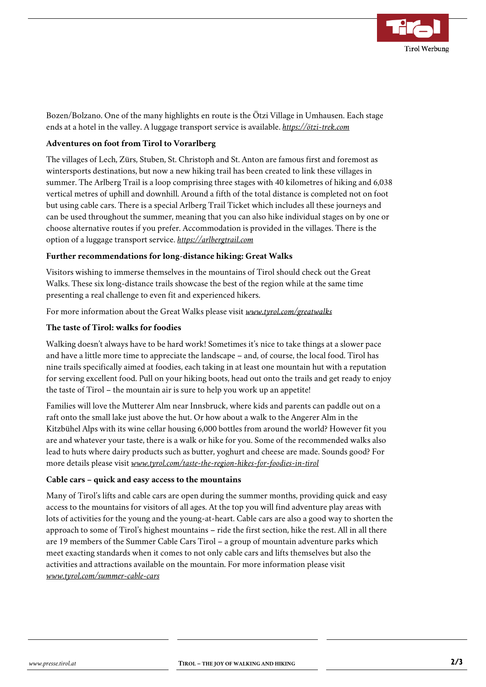

Bozen/Bolzano. One of the many highlights en route is the Ötzi Village in Umhausen. Each stage ends at a hotel in the valley. A luggage transport service is available. *[https://ötzi-trek.com](https://%C3%B6tzi-trek.com/)*

#### **Adventures on foot from Tirol to Vorarlberg**

The villages of Lech, Zürs, Stuben, St. Christoph and St. Anton are famous first and foremost as wintersports destinations, but now a new hiking trail has been created to link these villages in summer. The Arlberg Trail is a loop comprising three stages with 40 kilometres of hiking and 6,038 vertical metres of uphill and downhill. Around a fifth of the total distance is completed not on foot but using cable cars. There is a special Arlberg Trail Ticket which includes all these journeys and can be used throughout the summer, meaning that you can also hike individual stages on by one or choose alternative routes if you prefer. Accommodation is provided in the villages. There is the option of a luggage transport service. *[https://arlbergtrail.com](https://arlbergtrail.com/en/)*

#### **Further recommendations for long-distance hiking: Great Walks**

Visitors wishing to immerse themselves in the mountains of Tirol should check out the Great Walks. These six long-distance trails showcase the best of the region while at the same time presenting a real challenge to even fit and experienced hikers.

For more information about the Great Walks please visit *[www.tyrol.com/greatwalks](http://www.tyrol.com/greatwalks)*

### **The taste of Tirol: walks for foodies**

Walking doesn't always have to be hard work! Sometimes it's nice to take things at a slower pace and have a little more time to appreciate the landscape – and, of course, the local food. Tirol has nine trails specifically aimed at foodies, each taking in at least one mountain hut with a reputation for serving excellent food. Pull on your hiking boots, head out onto the trails and get ready to enjoy the taste of Tirol – the mountain air is sure to help you work up an appetite!

Families will love the Mutterer Alm near Innsbruck, where kids and parents can paddle out on a raft onto the small lake just above the hut. Or how about a walk to the Angerer Alm in the Kitzbühel Alps with its wine cellar housing 6,000 bottles from around the world? However fit you are and whatever your taste, there is a walk or hike for you. Some of the recommended walks also lead to huts where dairy products such as butter, yoghurt and cheese are made. Sounds good? For more details please visit *[www.tyrol.com/taste-the-region-hikes-for-foodies-in-tirol](http://www.tyrol.com/taste-the-region-hikes-for-foodies-in-tirol)*

#### **Cable cars – quick and easy access to the mountains**

Many of Tirol's lifts and cable cars are open during the summer months, providing quick and easy access to the mountains for visitors of all ages. At the top you will find adventure play areas with lots of activities for the young and the young-at-heart. Cable cars are also a good way to shorten the approach to some of Tirol's highest mountains – ride the first section, hike the rest. All in all there are 19 members of the Summer Cable Cars Tirol – a group of mountain adventure parks which meet exacting standards when it comes to not only cable cars and lifts themselves but also the activities and attractions available on the mountain. For more information please visit *[www.tyrol.com/summer-cable-cars](http://www.tyrol.com/summer-cable-cars)*